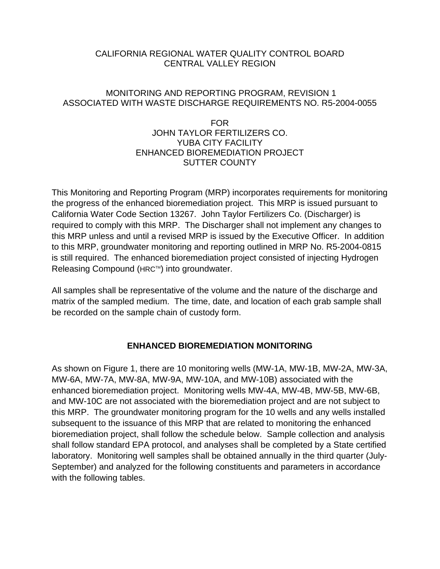### CALIFORNIA REGIONAL WATER QUALITY CONTROL BOARD CENTRAL VALLEY REGION

## MONITORING AND REPORTING PROGRAM, REVISION 1 ASSOCIATED WITH WASTE DISCHARGE REQUIREMENTS NO. R5-2004-0055

### FOR JOHN TAYLOR FERTILIZERS CO. YUBA CITY FACILITY ENHANCED BIOREMEDIATION PROJECT SUTTER COUNTY

This Monitoring and Reporting Program (MRP) incorporates requirements for monitoring the progress of the enhanced bioremediation project. This MRP is issued pursuant to California Water Code Section 13267. John Taylor Fertilizers Co. (Discharger) is required to comply with this MRP. The Discharger shall not implement any changes to this MRP unless and until a revised MRP is issued by the Executive Officer. In addition to this MRP, groundwater monitoring and reporting outlined in MRP No. R5-2004-0815 is still required. The enhanced bioremediation project consisted of injecting Hydrogen Releasing Compound (HRC™) into groundwater.

All samples shall be representative of the volume and the nature of the discharge and matrix of the sampled medium. The time, date, and location of each grab sample shall be recorded on the sample chain of custody form.

## **ENHANCED BIOREMEDIATION MONITORING**

As shown on Figure 1, there are 10 monitoring wells (MW-1A, MW-1B, MW-2A, MW-3A, MW-6A, MW-7A, MW-8A, MW-9A, MW-10A, and MW-10B) associated with the enhanced bioremediation project. Monitoring wells MW-4A, MW-4B, MW-5B, MW-6B, and MW-10C are not associated with the bioremediation project and are not subject to this MRP. The groundwater monitoring program for the 10 wells and any wells installed subsequent to the issuance of this MRP that are related to monitoring the enhanced bioremediation project, shall follow the schedule below. Sample collection and analysis shall follow standard EPA protocol, and analyses shall be completed by a State certified laboratory. Monitoring well samples shall be obtained annually in the third quarter (July-September) and analyzed for the following constituents and parameters in accordance with the following tables.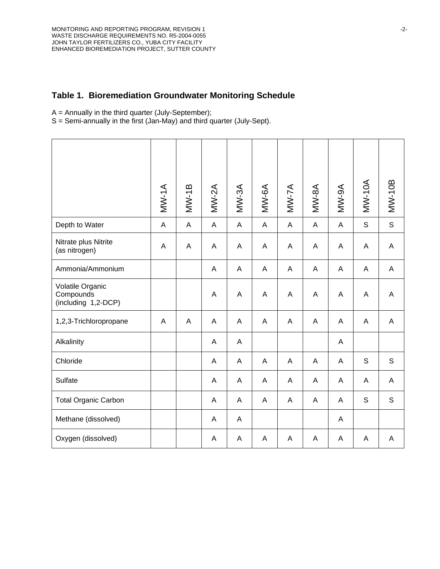#### **Table 1. Bioremediation Groundwater Monitoring Schedule**

 $A =$  Annually in the third quarter (July-September);

S = Semi-annually in the first (Jan-May) and third quarter (July-Sept).

|                                                      | $MV-1A$      | $MW-1B$ | $MV-2A$      | $M W-3A$                  | MW-6A        | $MV-7A$      | $MW-8A$      | A6-MM       | <b>MW-10A</b> | <b>MW-10B</b> |
|------------------------------------------------------|--------------|---------|--------------|---------------------------|--------------|--------------|--------------|-------------|---------------|---------------|
| Depth to Water                                       | $\mathsf{A}$ | A       | $\mathsf{A}$ | $\mathsf A$               | $\mathsf{A}$ | $\mathsf{A}$ | $\mathsf{A}$ | $\mathsf A$ | $\mathsf S$   | $\mathsf S$   |
| Nitrate plus Nitrite<br>(as nitrogen)                | A            | A       | A            | A                         | A            | A            | A            | A           | A             | A             |
| Ammonia/Ammonium                                     |              |         | $\mathsf{A}$ | A                         | A            | A            | A            | A           | A             | A             |
| Volatile Organic<br>Compounds<br>(including 1,2-DCP) |              |         | A            | $\boldsymbol{\mathsf{A}}$ | A            | A            | A            | A           | A             | A             |
| 1,2,3-Trichloropropane                               | A            | A       | $\mathsf{A}$ | A                         | A            | A            | A            | A           | A             | A             |
| Alkalinity                                           |              |         | A            | A                         |              |              |              | A           |               |               |
| Chloride                                             |              |         | A            | A                         | A            | A            | A            | A           | $\mathsf S$   | $\mathsf S$   |
| Sulfate                                              |              |         | A            | A                         | A            | A            | A            | A           | A             | A             |
| <b>Total Organic Carbon</b>                          |              |         | A            | A                         | A            | A            | A            | A           | S             | $\mathsf S$   |
| Methane (dissolved)                                  |              |         | A            | A                         |              |              |              | A           |               |               |
| Oxygen (dissolved)                                   |              |         | A            | A                         | A            | A            | A            | A           | A             | A             |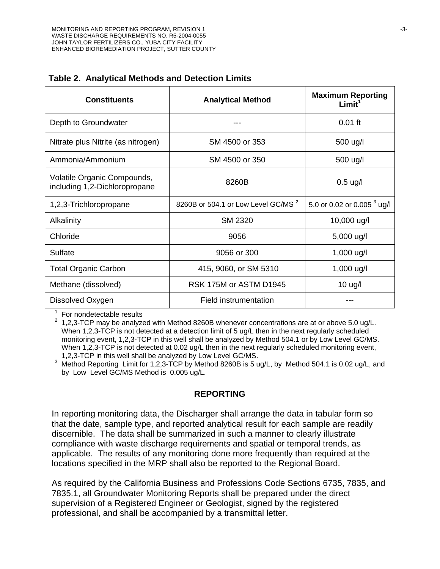| <b>Constituents</b>                                          | <b>Analytical Method</b>                       | <b>Maximum Reporting</b><br>Limit <sup>1</sup> |  |  |
|--------------------------------------------------------------|------------------------------------------------|------------------------------------------------|--|--|
| Depth to Groundwater                                         |                                                | $0.01$ ft                                      |  |  |
| Nitrate plus Nitrite (as nitrogen)                           | SM 4500 or 353                                 | 500 ug/l                                       |  |  |
| Ammonia/Ammonium                                             | SM 4500 or 350                                 | 500 ug/l                                       |  |  |
| Volatile Organic Compounds,<br>including 1,2-Dichloropropane | 8260B                                          | $0.5$ ug/l                                     |  |  |
| 1,2,3-Trichloropropane                                       | 8260B or 504.1 or Low Level GC/MS <sup>2</sup> | 5.0 or 0.02 or 0.005 $3$ ug/                   |  |  |
| Alkalinity                                                   | <b>SM 2320</b>                                 | 10,000 ug/l                                    |  |  |
| Chloride                                                     | 9056                                           | 5,000 ug/l                                     |  |  |
| Sulfate                                                      | 9056 or 300                                    | 1,000 ug/l                                     |  |  |
| <b>Total Organic Carbon</b>                                  | 415, 9060, or SM 5310                          | 1,000 ug/l                                     |  |  |
| Methane (dissolved)                                          | RSK 175M or ASTM D1945                         | $10 \text{ u}$ g/l                             |  |  |
| Dissolved Oxygen                                             | <b>Field instrumentation</b>                   |                                                |  |  |

|  |  |  |  | Table 2. Analytical Methods and Detection Limits |  |
|--|--|--|--|--------------------------------------------------|--|
|--|--|--|--|--------------------------------------------------|--|

 $1$  For nondetectable results

 $2$  1.2.3-TCP may be analyzed with Method 8260B whenever concentrations are at or above 5.0 ug/L. When 1,2,3-TCP is not detected at a detection limit of 5 ug/L then in the next regularly scheduled monitoring event, 1,2,3-TCP in this well shall be analyzed by Method 504.1 or by Low Level GC/MS. When 1,2,3-TCP is not detected at 0.02 ug/L then in the next regularly scheduled monitoring event, 1,2,3-TCP in this well shall be analyzed by Low Level GC/MS.

 $3$  Method Reporting Limit for 1,2,3-TCP by Method 8260B is 5 ug/L, by Method 504.1 is 0.02 ug/L, and by Low Level GC/MS Method is 0.005 ug/L.

#### **REPORTING**

In reporting monitoring data, the Discharger shall arrange the data in tabular form so that the date, sample type, and reported analytical result for each sample are readily discernible. The data shall be summarized in such a manner to clearly illustrate compliance with waste discharge requirements and spatial or temporal trends, as applicable. The results of any monitoring done more frequently than required at the locations specified in the MRP shall also be reported to the Regional Board.

As required by the California Business and Professions Code Sections 6735, 7835, and 7835.1, all Groundwater Monitoring Reports shall be prepared under the direct supervision of a Registered Engineer or Geologist, signed by the registered professional, and shall be accompanied by a transmittal letter.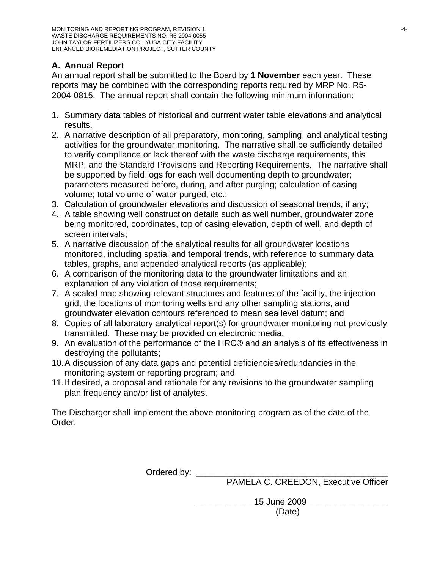# **A. Annual Report**

An annual report shall be submitted to the Board by **1 November** each year. These reports may be combined with the corresponding reports required by MRP No. R5- 2004-0815. The annual report shall contain the following minimum information:

- 1. Summary data tables of historical and currrent water table elevations and analytical results.
- 2. A narrative description of all preparatory, monitoring, sampling, and analytical testing activities for the groundwater monitoring. The narrative shall be sufficiently detailed to verify compliance or lack thereof with the waste discharge requirements, this MRP, and the Standard Provisions and Reporting Requirements. The narrative shall be supported by field logs for each well documenting depth to groundwater; parameters measured before, during, and after purging; calculation of casing volume; total volume of water purged, etc.;
- 3. Calculation of groundwater elevations and discussion of seasonal trends, if any;
- 4. A table showing well construction details such as well number, groundwater zone being monitored, coordinates, top of casing elevation, depth of well, and depth of screen intervals;
- 5. A narrative discussion of the analytical results for all groundwater locations monitored, including spatial and temporal trends, with reference to summary data tables, graphs, and appended analytical reports (as applicable);
- 6. A comparison of the monitoring data to the groundwater limitations and an explanation of any violation of those requirements;
- 7. A scaled map showing relevant structures and features of the facility, the injection grid, the locations of monitoring wells and any other sampling stations, and groundwater elevation contours referenced to mean sea level datum; and
- 8. Copies of all laboratory analytical report(s) for groundwater monitoring not previously transmitted. These may be provided on electronic media.
- 9. An evaluation of the performance of the HRC® and an analysis of its effectiveness in destroying the pollutants;
- 10. A discussion of any data gaps and potential deficiencies/redundancies in the monitoring system or reporting program; and
- 11. If desired, a proposal and rationale for any revisions to the groundwater sampling plan frequency and/or list of analytes.

The Discharger shall implement the above monitoring program as of the date of the Order.

Ordered by: \_\_\_\_\_\_

PAMELA C. CREEDON, Executive Officer

 \_\_\_\_\_\_\_\_\_\_\_\_15 June 2009\_\_\_\_\_\_\_\_\_\_\_\_\_\_\_\_\_ (Date)